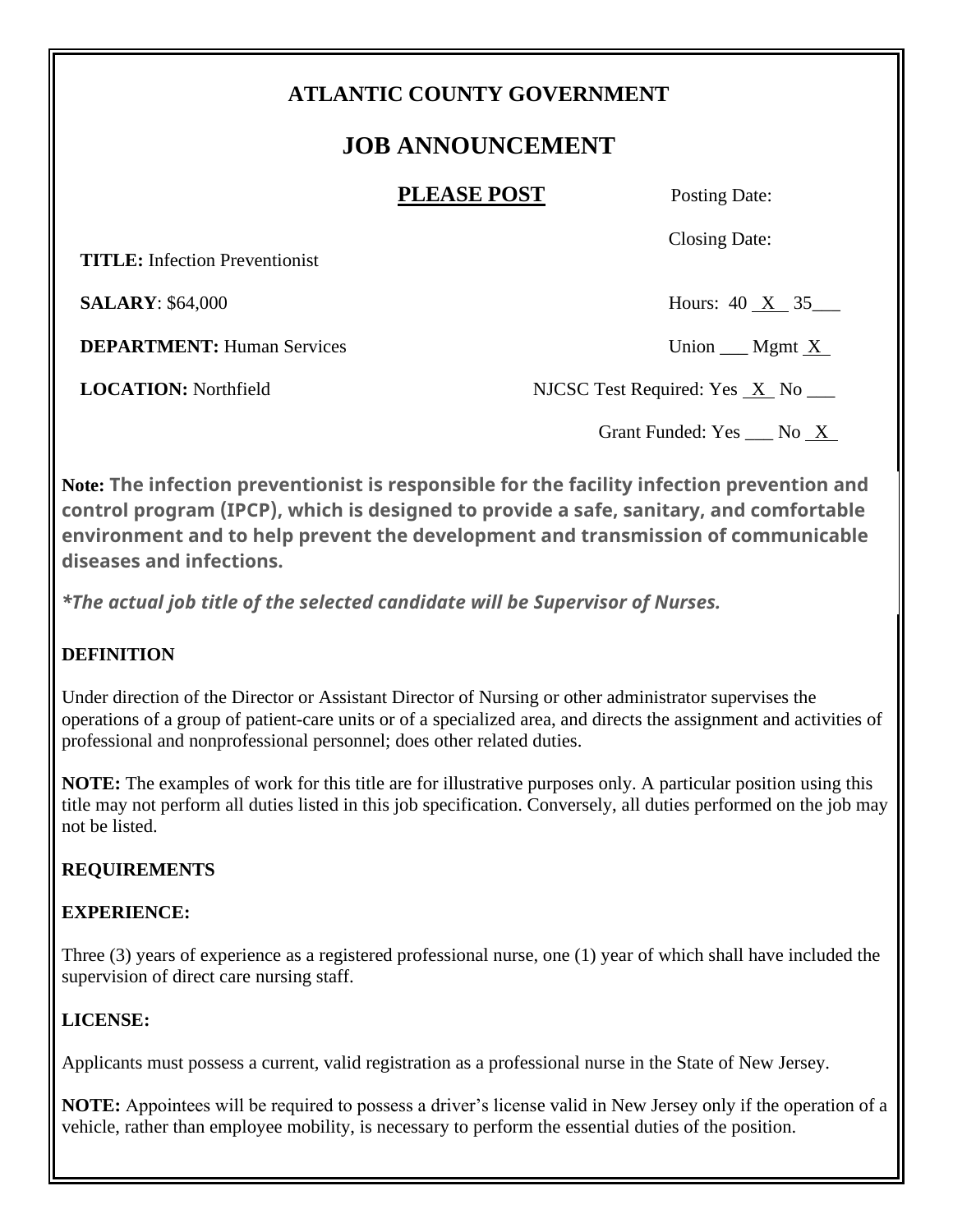## **ATLANTIC COUNTY GOVERNMENT**

# **JOB ANNOUNCEMENT**

#### **PLEASE POST** Posting Date:

Closing Date:

 **TITLE:** Infection Preventionist

**SALARY**: \$64,000 Hours: 40 X 35

**DEPARTMENT:** Human Services Union Mgmt X

**LOCATION:** Northfield NJCSC Test Required: Yes X No

Grant Funded: Yes \_\_\_ No \_X\_

**Note: The infection preventionist is responsible for the facility infection prevention and control program (IPCP), which is designed to provide a safe, sanitary, and comfortable environment and to help prevent the development and transmission of communicable diseases and infections.**

*\*The actual job title of the selected candidate will be Supervisor of Nurses.*

### **DEFINITION**

Under direction of the Director or Assistant Director of Nursing or other administrator supervises the operations of a group of patient-care units or of a specialized area, and directs the assignment and activities of professional and nonprofessional personnel; does other related duties.

**NOTE:** The examples of work for this title are for illustrative purposes only. A particular position using this title may not perform all duties listed in this job specification. Conversely, all duties performed on the job may not be listed.

### **REQUIREMENTS**

### **EXPERIENCE:**

Three (3) years of experience as a registered professional nurse, one (1) year of which shall have included the supervision of direct care nursing staff.

### **LICENSE:**

Applicants must possess a current, valid registration as a professional nurse in the State of New Jersey.

**NOTE:** Appointees will be required to possess a driver's license valid in New Jersey only if the operation of a vehicle, rather than employee mobility, is necessary to perform the essential duties of the position.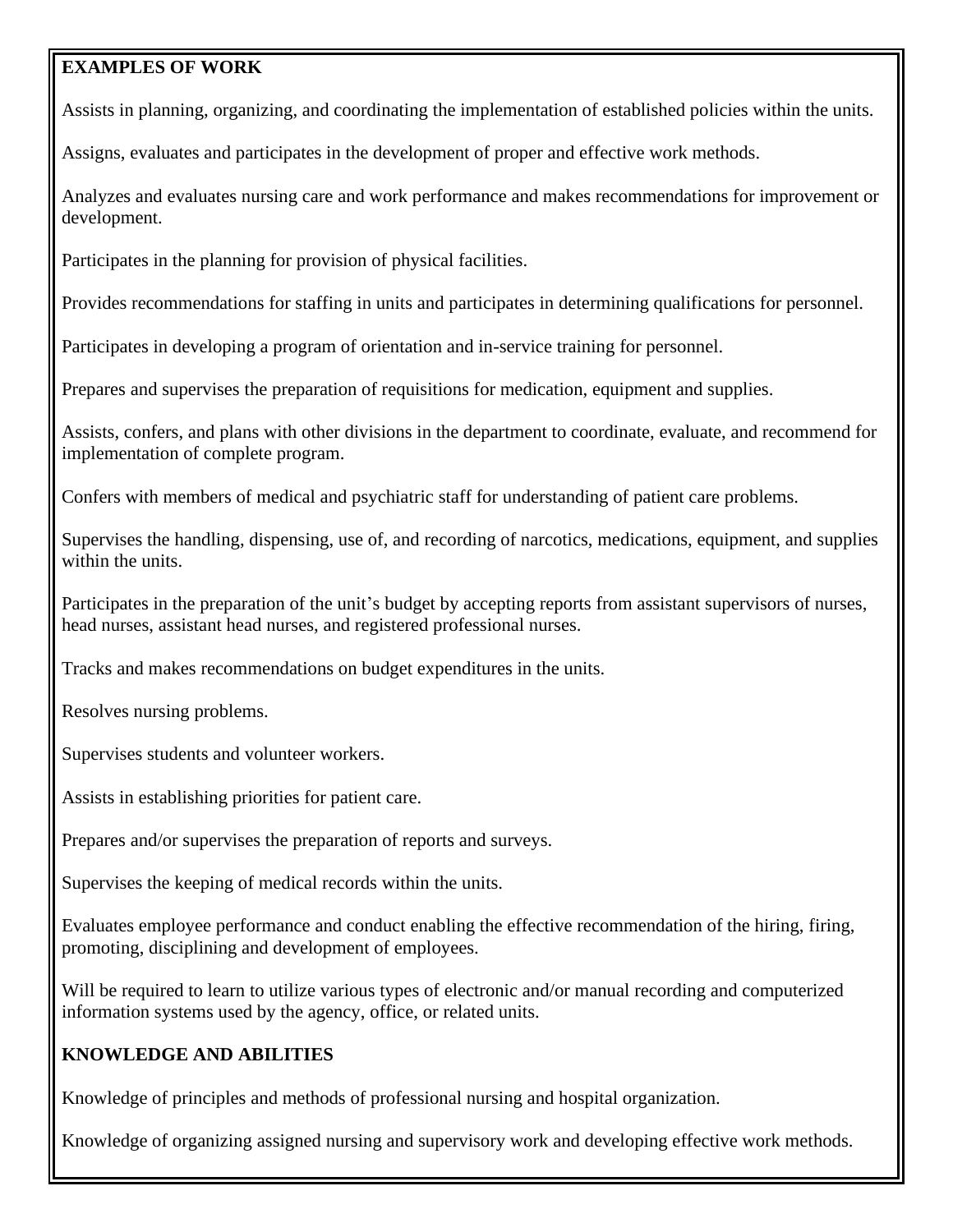#### **EXAMPLES OF WORK**

Assists in planning, organizing, and coordinating the implementation of established policies within the units.

Assigns, evaluates and participates in the development of proper and effective work methods.

Analyzes and evaluates nursing care and work performance and makes recommendations for improvement or development.

Participates in the planning for provision of physical facilities.

Provides recommendations for staffing in units and participates in determining qualifications for personnel.

Participates in developing a program of orientation and in-service training for personnel.

Prepares and supervises the preparation of requisitions for medication, equipment and supplies.

Assists, confers, and plans with other divisions in the department to coordinate, evaluate, and recommend for implementation of complete program.

Confers with members of medical and psychiatric staff for understanding of patient care problems.

Supervises the handling, dispensing, use of, and recording of narcotics, medications, equipment, and supplies within the units.

Participates in the preparation of the unit's budget by accepting reports from assistant supervisors of nurses, head nurses, assistant head nurses, and registered professional nurses.

Tracks and makes recommendations on budget expenditures in the units.

Resolves nursing problems.

Supervises students and volunteer workers.

Assists in establishing priorities for patient care.

Prepares and/or supervises the preparation of reports and surveys.

Supervises the keeping of medical records within the units.

Evaluates employee performance and conduct enabling the effective recommendation of the hiring, firing, promoting, disciplining and development of employees.

Will be required to learn to utilize various types of electronic and/or manual recording and computerized information systems used by the agency, office, or related units.

#### **KNOWLEDGE AND ABILITIES**

Knowledge of principles and methods of professional nursing and hospital organization.

Knowledge of organizing assigned nursing and supervisory work and developing effective work methods.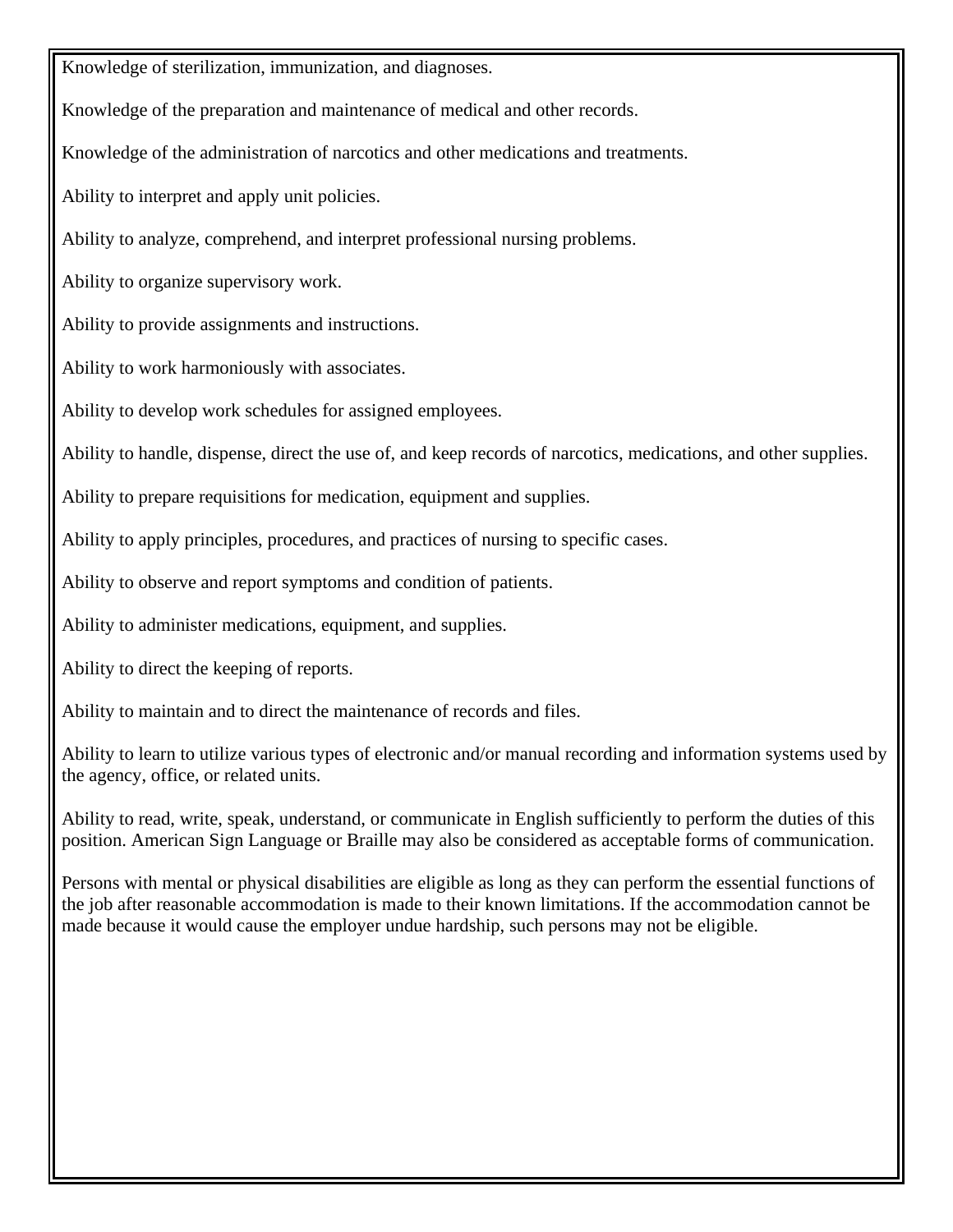Knowledge of sterilization, immunization, and diagnoses.

Knowledge of the preparation and maintenance of medical and other records.

Knowledge of the administration of narcotics and other medications and treatments.

Ability to interpret and apply unit policies.

Ability to analyze, comprehend, and interpret professional nursing problems.

Ability to organize supervisory work.

Ability to provide assignments and instructions.

Ability to work harmoniously with associates.

Ability to develop work schedules for assigned employees.

Ability to handle, dispense, direct the use of, and keep records of narcotics, medications, and other supplies.

Ability to prepare requisitions for medication, equipment and supplies.

Ability to apply principles, procedures, and practices of nursing to specific cases.

Ability to observe and report symptoms and condition of patients.

Ability to administer medications, equipment, and supplies.

Ability to direct the keeping of reports.

Ability to maintain and to direct the maintenance of records and files.

Ability to learn to utilize various types of electronic and/or manual recording and information systems used by the agency, office, or related units.

Ability to read, write, speak, understand, or communicate in English sufficiently to perform the duties of this position. American Sign Language or Braille may also be considered as acceptable forms of communication.

Persons with mental or physical disabilities are eligible as long as they can perform the essential functions of the job after reasonable accommodation is made to their known limitations. If the accommodation cannot be made because it would cause the employer undue hardship, such persons may not be eligible.